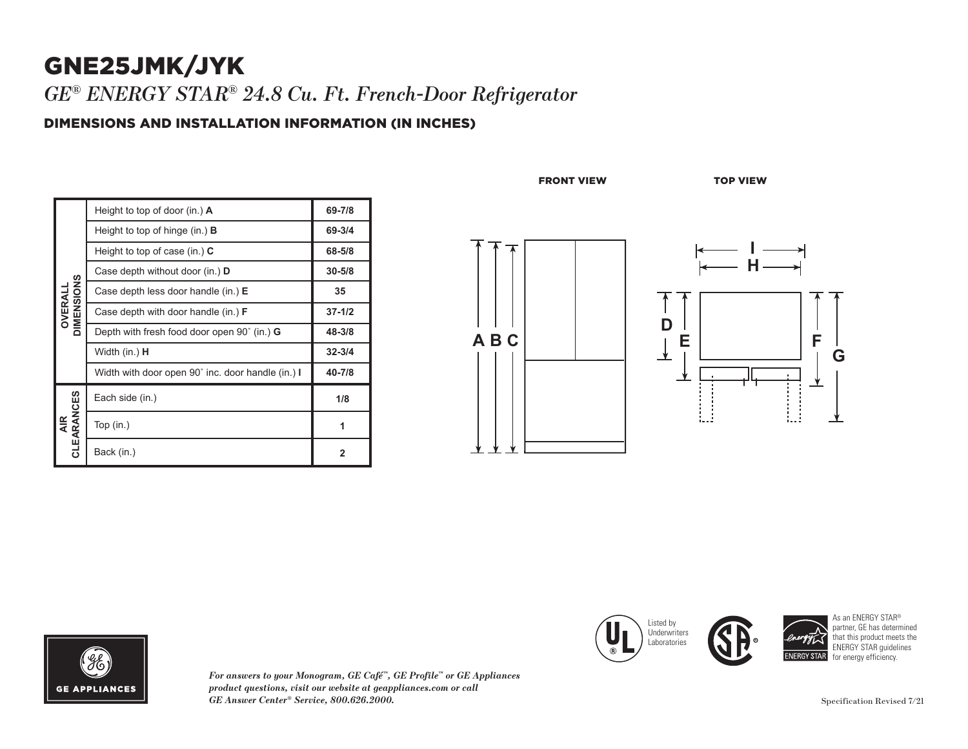## GNE25JMK/JYK *GE® ENERGY STAR® 24.8 Cu. Ft. French-Door Refrigerator*

### DIMENSIONS AND INSTALLATION INFORMATION (IN INCHES)

| OIMENSIONS<br>OVERALL | Height to top of door (in.) $\bf{A}$               | 69-7/8         |
|-----------------------|----------------------------------------------------|----------------|
|                       | Height to top of hinge $(in.)$ <b>B</b>            | 69-3/4         |
|                       | Height to top of case (in.) $C$                    | 68-5/8         |
|                       | Case depth without door (in.) D                    | $30 - 5/8$     |
|                       | Case depth less door handle (in.) E                | 35             |
|                       | Case depth with door handle (in.) <b>F</b>         | $37 - 1/2$     |
|                       | Depth with fresh food door open 90° (in.) <b>G</b> | 48-3/8         |
|                       | Width (in.) <b>H</b>                               | $32 - 3/4$     |
|                       | Width with door open 90° inc. door handle (in.) I  | 40-7/8         |
| AIR<br>CLEARANCES     | Each side (in.)                                    | 1/8            |
|                       | Top $(in.)$                                        | 1              |
|                       | Back (in.)                                         | $\overline{2}$ |

FRONT VIEW TOP VIEW







**GE APPLIANCES** 

*For answers to your Monogram, GE Café™, GE Profile™ or GE Appliances product questions, visit our website at geappliances.com or call GE Answer Center® Service, 800.626.2000.* Specification Revised 7/21